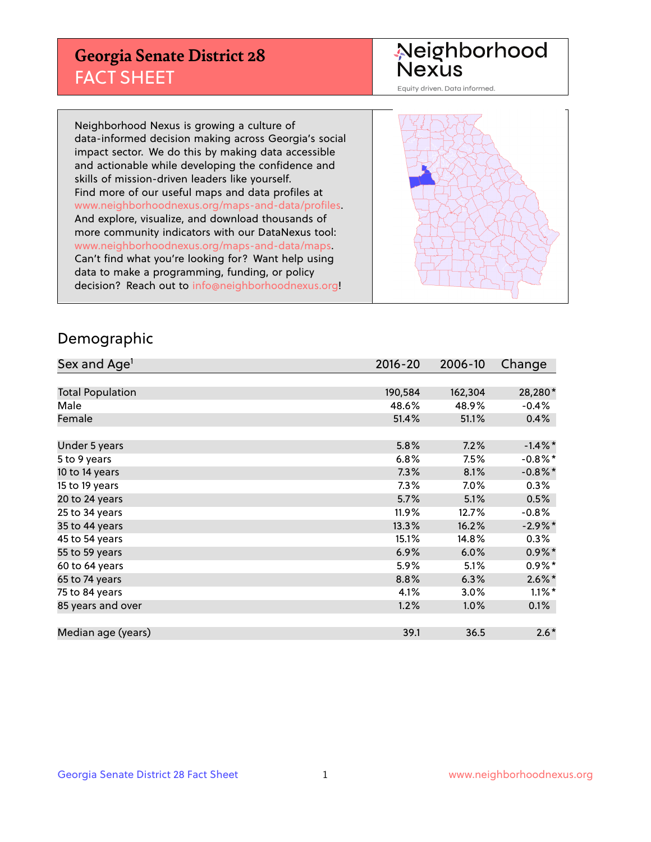## **Georgia Senate District 28** FACT SHEET

# Neighborhood<br>Nexus

Equity driven. Data informed.

Neighborhood Nexus is growing a culture of data-informed decision making across Georgia's social impact sector. We do this by making data accessible and actionable while developing the confidence and skills of mission-driven leaders like yourself. Find more of our useful maps and data profiles at www.neighborhoodnexus.org/maps-and-data/profiles. And explore, visualize, and download thousands of more community indicators with our DataNexus tool: www.neighborhoodnexus.org/maps-and-data/maps. Can't find what you're looking for? Want help using data to make a programming, funding, or policy decision? Reach out to [info@neighborhoodnexus.org!](mailto:info@neighborhoodnexus.org)



### Demographic

| Sex and Age <sup>1</sup> | $2016 - 20$ | 2006-10 | Change     |
|--------------------------|-------------|---------|------------|
|                          |             |         |            |
| <b>Total Population</b>  | 190,584     | 162,304 | 28,280*    |
| Male                     | 48.6%       | 48.9%   | $-0.4%$    |
| Female                   | 51.4%       | 51.1%   | 0.4%       |
|                          |             |         |            |
| Under 5 years            | 5.8%        | 7.2%    | $-1.4\%$ * |
| 5 to 9 years             | 6.8%        | 7.5%    | $-0.8\%$ * |
| 10 to 14 years           | 7.3%        | 8.1%    | $-0.8\%$ * |
| 15 to 19 years           | 7.3%        | 7.0%    | 0.3%       |
| 20 to 24 years           | 5.7%        | 5.1%    | 0.5%       |
| 25 to 34 years           | 11.9%       | 12.7%   | $-0.8%$    |
| 35 to 44 years           | 13.3%       | 16.2%   | $-2.9\%$ * |
| 45 to 54 years           | 15.1%       | 14.8%   | 0.3%       |
| 55 to 59 years           | 6.9%        | 6.0%    | $0.9\%$ *  |
| 60 to 64 years           | 5.9%        | 5.1%    | $0.9\%$ *  |
| 65 to 74 years           | 8.8%        | 6.3%    | $2.6\%$ *  |
| 75 to 84 years           | 4.1%        | 3.0%    | $1.1\%$ *  |
| 85 years and over        | 1.2%        | 1.0%    | 0.1%       |
|                          |             |         |            |
| Median age (years)       | 39.1        | 36.5    | $2.6*$     |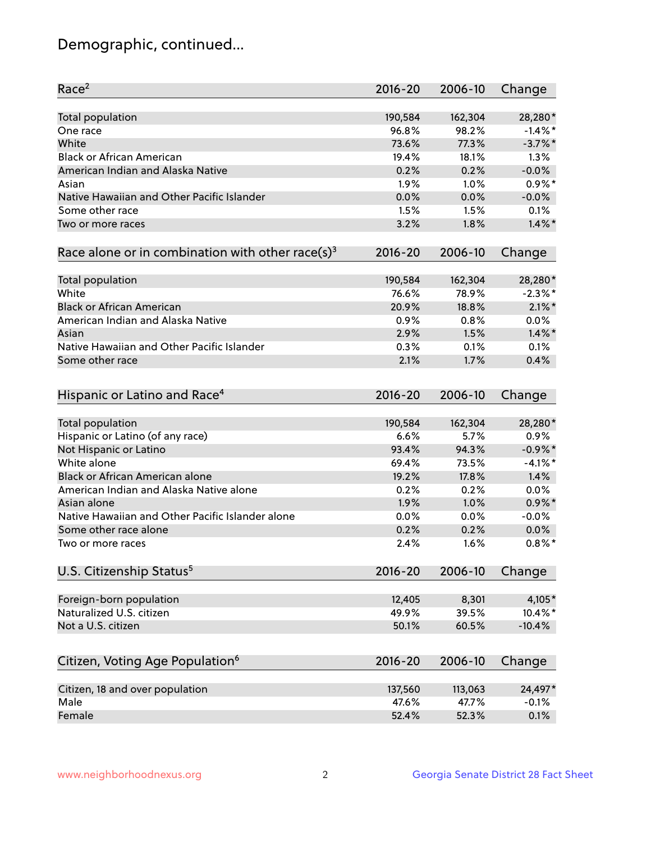## Demographic, continued...

| Race <sup>2</sup>                                            | $2016 - 20$ | 2006-10 | Change     |
|--------------------------------------------------------------|-------------|---------|------------|
| <b>Total population</b>                                      | 190,584     | 162,304 | 28,280*    |
| One race                                                     | 96.8%       | 98.2%   | $-1.4\%$ * |
| White                                                        | 73.6%       | 77.3%   | $-3.7\%$ * |
| <b>Black or African American</b>                             | 19.4%       | 18.1%   | 1.3%       |
| American Indian and Alaska Native                            | 0.2%        | 0.2%    | $-0.0%$    |
| Asian                                                        | 1.9%        | 1.0%    | $0.9\%$ *  |
| Native Hawaiian and Other Pacific Islander                   | 0.0%        | 0.0%    | $-0.0%$    |
| Some other race                                              | 1.5%        | 1.5%    | 0.1%       |
| Two or more races                                            | 3.2%        | 1.8%    | $1.4\%$ *  |
| Race alone or in combination with other race(s) <sup>3</sup> | $2016 - 20$ | 2006-10 | Change     |
| Total population                                             | 190,584     | 162,304 | 28,280*    |
| White                                                        | 76.6%       | 78.9%   | $-2.3\%$ * |
| <b>Black or African American</b>                             | 20.9%       | 18.8%   | $2.1\%$ *  |
| American Indian and Alaska Native                            | 0.9%        | 0.8%    | $0.0\%$    |
| Asian                                                        | 2.9%        | 1.5%    | $1.4\%$ *  |
| Native Hawaiian and Other Pacific Islander                   |             |         |            |
|                                                              | 0.3%        | 0.1%    | 0.1%       |
| Some other race                                              | 2.1%        | 1.7%    | 0.4%       |
| Hispanic or Latino and Race <sup>4</sup>                     | $2016 - 20$ | 2006-10 | Change     |
| <b>Total population</b>                                      | 190,584     | 162,304 | 28,280*    |
| Hispanic or Latino (of any race)                             | 6.6%        | 5.7%    | 0.9%       |
| Not Hispanic or Latino                                       | 93.4%       | 94.3%   | $-0.9\%$ * |
| White alone                                                  | 69.4%       | 73.5%   | $-4.1%$ *  |
| Black or African American alone                              | 19.2%       | 17.8%   | 1.4%       |
| American Indian and Alaska Native alone                      | 0.2%        | 0.2%    | 0.0%       |
| Asian alone                                                  | 1.9%        | 1.0%    | $0.9\%$ *  |
| Native Hawaiian and Other Pacific Islander alone             | 0.0%        | 0.0%    | $-0.0%$    |
| Some other race alone                                        | 0.2%        | 0.2%    | 0.0%       |
| Two or more races                                            | 2.4%        | 1.6%    | $0.8\%$ *  |
| U.S. Citizenship Status <sup>5</sup>                         | $2016 - 20$ | 2006-10 | Change     |
|                                                              |             |         |            |
| Foreign-born population                                      | 12,405      | 8,301   | 4,105*     |
| Naturalized U.S. citizen                                     | 49.9%       | 39.5%   | 10.4%*     |
| Not a U.S. citizen                                           | 50.1%       | 60.5%   | $-10.4%$   |
| Citizen, Voting Age Population <sup>6</sup>                  | 2016-20     | 2006-10 | Change     |
|                                                              |             |         |            |
| Citizen, 18 and over population<br>Male                      | 137,560     | 113,063 | 24,497*    |
|                                                              | 47.6%       | 47.7%   | $-0.1%$    |
| Female                                                       | 52.4%       | 52.3%   | 0.1%       |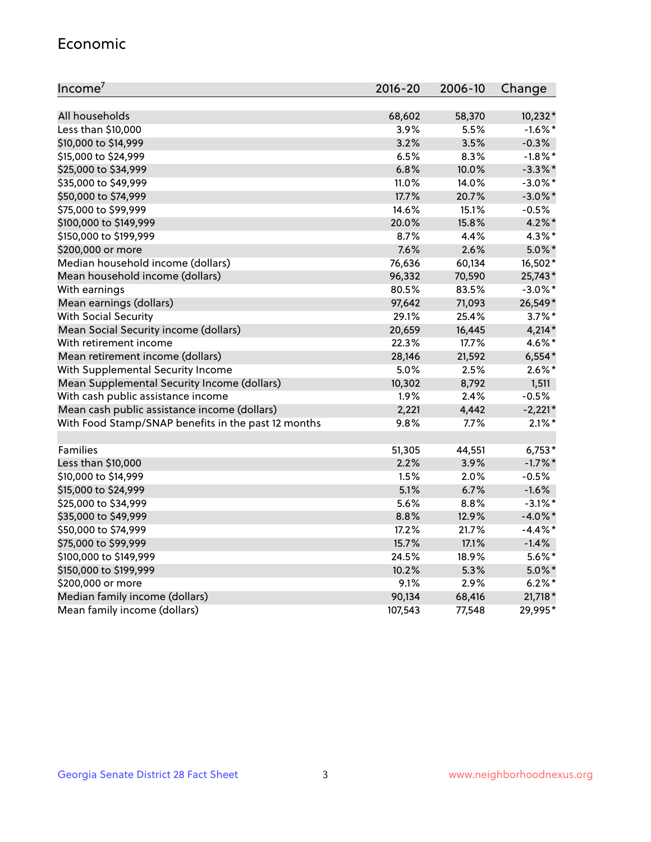#### Economic

| Income <sup>7</sup>                                 | $2016 - 20$ | 2006-10 | Change     |
|-----------------------------------------------------|-------------|---------|------------|
|                                                     |             |         |            |
| All households                                      | 68,602      | 58,370  | $10,232*$  |
| Less than \$10,000                                  | 3.9%        | 5.5%    | $-1.6\%$ * |
| \$10,000 to \$14,999                                | 3.2%        | 3.5%    | $-0.3%$    |
| \$15,000 to \$24,999                                | 6.5%        | 8.3%    | $-1.8\%$ * |
| \$25,000 to \$34,999                                | 6.8%        | 10.0%   | $-3.3\%$ * |
| \$35,000 to \$49,999                                | 11.0%       | 14.0%   | $-3.0\%$ * |
| \$50,000 to \$74,999                                | 17.7%       | 20.7%   | $-3.0\%$ * |
| \$75,000 to \$99,999                                | 14.6%       | 15.1%   | $-0.5%$    |
| \$100,000 to \$149,999                              | 20.0%       | 15.8%   | $4.2\%$ *  |
| \$150,000 to \$199,999                              | 8.7%        | 4.4%    | $4.3\%$ *  |
| \$200,000 or more                                   | 7.6%        | 2.6%    | $5.0\%$ *  |
| Median household income (dollars)                   | 76,636      | 60,134  | 16,502*    |
| Mean household income (dollars)                     | 96,332      | 70,590  | 25,743*    |
| With earnings                                       | 80.5%       | 83.5%   | $-3.0\%$ * |
| Mean earnings (dollars)                             | 97,642      | 71,093  | 26,549*    |
| <b>With Social Security</b>                         | 29.1%       | 25.4%   | $3.7\%$ *  |
| Mean Social Security income (dollars)               | 20,659      | 16,445  | $4,214*$   |
| With retirement income                              | 22.3%       | 17.7%   | 4.6%*      |
| Mean retirement income (dollars)                    | 28,146      | 21,592  | $6,554*$   |
| With Supplemental Security Income                   | 5.0%        | 2.5%    | $2.6\%$ *  |
| Mean Supplemental Security Income (dollars)         | 10,302      | 8,792   | 1,511      |
| With cash public assistance income                  | 1.9%        | 2.4%    | $-0.5%$    |
| Mean cash public assistance income (dollars)        | 2,221       | 4,442   | $-2,221*$  |
| With Food Stamp/SNAP benefits in the past 12 months | 9.8%        | 7.7%    | $2.1\%$ *  |
|                                                     |             |         |            |
| Families                                            | 51,305      | 44,551  | $6,753*$   |
| Less than \$10,000                                  | 2.2%        | 3.9%    | $-1.7\%$ * |
| \$10,000 to \$14,999                                | 1.5%        | 2.0%    | $-0.5%$    |
| \$15,000 to \$24,999                                | 5.1%        | 6.7%    | $-1.6%$    |
| \$25,000 to \$34,999                                | 5.6%        | 8.8%    | $-3.1\%$ * |
| \$35,000 to \$49,999                                | 8.8%        | 12.9%   | $-4.0\%$ * |
| \$50,000 to \$74,999                                | 17.2%       | 21.7%   | $-4.4\%$ * |
| \$75,000 to \$99,999                                | 15.7%       | 17.1%   | $-1.4%$    |
| \$100,000 to \$149,999                              | 24.5%       | 18.9%   | $5.6\%$ *  |
| \$150,000 to \$199,999                              | 10.2%       | 5.3%    | $5.0\%$ *  |
| \$200,000 or more                                   | 9.1%        | 2.9%    | $6.2\%$ *  |
| Median family income (dollars)                      | 90,134      | 68,416  | 21,718 *   |
| Mean family income (dollars)                        | 107,543     | 77,548  | 29,995*    |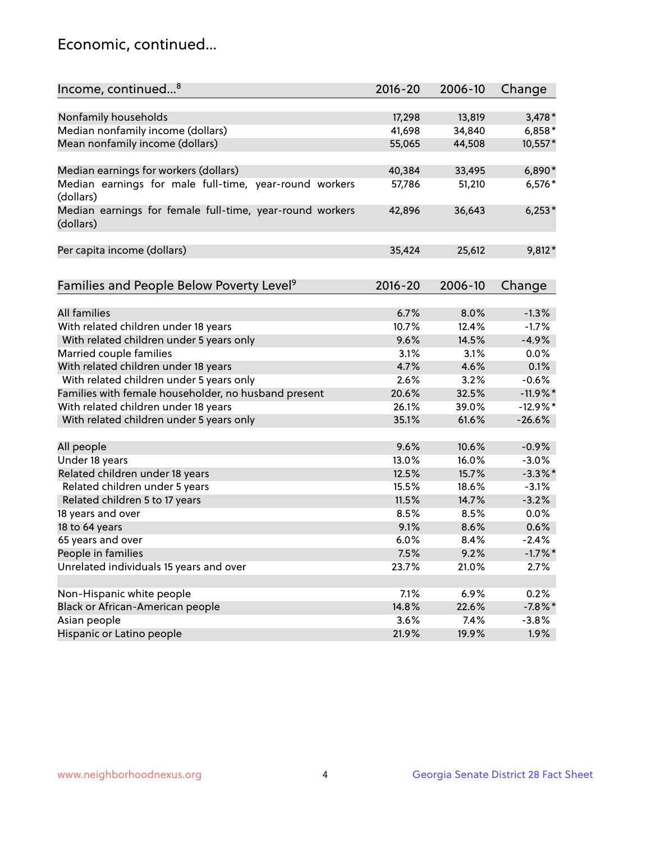## Economic, continued...

| Income, continued <sup>8</sup>                                        | $2016 - 20$ | 2006-10       | Change     |
|-----------------------------------------------------------------------|-------------|---------------|------------|
|                                                                       |             |               |            |
| Nonfamily households                                                  | 17,298      | 13,819        | $3,478*$   |
| Median nonfamily income (dollars)                                     | 41,698      | 34,840        | $6,858*$   |
| Mean nonfamily income (dollars)                                       | 55,065      | 44,508        | 10,557*    |
| Median earnings for workers (dollars)                                 | 40,384      | 33,495        | $6,890*$   |
| Median earnings for male full-time, year-round workers                | 57,786      | 51,210        | $6,576*$   |
| (dollars)                                                             |             |               |            |
| Median earnings for female full-time, year-round workers<br>(dollars) | 42,896      | 36,643        | $6,253*$   |
| Per capita income (dollars)                                           | 35,424      | 25,612        | 9,812*     |
|                                                                       |             |               |            |
| Families and People Below Poverty Level <sup>9</sup>                  | $2016 - 20$ | 2006-10       | Change     |
| <b>All families</b>                                                   | 6.7%        | 8.0%          | $-1.3%$    |
|                                                                       |             | 12.4%         | $-1.7%$    |
| With related children under 18 years                                  | 10.7%       |               | $-4.9%$    |
| With related children under 5 years only                              | 9.6%        | 14.5%         |            |
| Married couple families                                               | 3.1%        | 3.1%          | 0.0%       |
| With related children under 18 years                                  | 4.7%        | 4.6%          | 0.1%       |
| With related children under 5 years only                              | 2.6%        | 3.2%          | $-0.6%$    |
| Families with female householder, no husband present                  | 20.6%       | 32.5%         | $-11.9%$ * |
| With related children under 18 years                                  | 26.1%       | 39.0%         | $-12.9%$ * |
| With related children under 5 years only                              | 35.1%       | 61.6%         | $-26.6%$   |
| All people                                                            | 9.6%        | 10.6%         | $-0.9%$    |
| Under 18 years                                                        | 13.0%       | 16.0%         | $-3.0%$    |
| Related children under 18 years                                       | 12.5%       | 15.7%         | $-3.3\%$ * |
| Related children under 5 years                                        | 15.5%       | 18.6%         | $-3.1%$    |
| Related children 5 to 17 years                                        | 11.5%       | 14.7%         | $-3.2%$    |
| 18 years and over                                                     | 8.5%        | 8.5%          | 0.0%       |
| 18 to 64 years                                                        | 9.1%        | 8.6%          | 0.6%       |
| 65 years and over                                                     | 6.0%        | 8.4%          | $-2.4%$    |
| People in families                                                    | 7.5%        | 9.2%          | $-1.7\%$ * |
| Unrelated individuals 15 years and over                               | 23.7%       | 21.0%         | 2.7%       |
| Non-Hispanic white people                                             | 7.1%        | 6.9%          | 0.2%       |
|                                                                       | 14.8%       |               | $-7.8\%$ * |
| Black or African-American people                                      | 3.6%        | 22.6%<br>7.4% | $-3.8%$    |
| Asian people<br>Hispanic or Latino people                             | 21.9%       | 19.9%         | 1.9%       |
|                                                                       |             |               |            |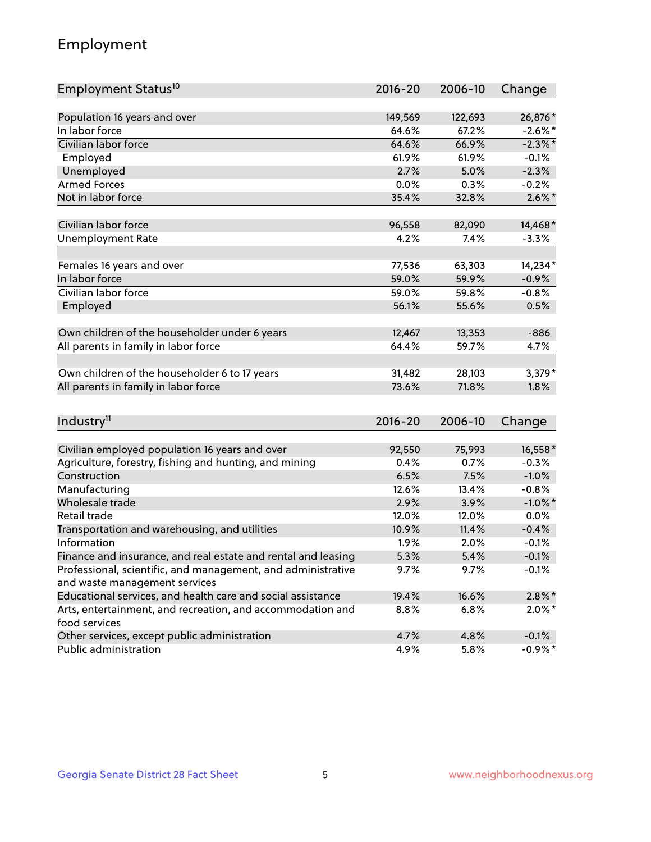## Employment

| Employment Status <sup>10</sup>                                             | $2016 - 20$ | 2006-10 | Change     |
|-----------------------------------------------------------------------------|-------------|---------|------------|
|                                                                             |             |         |            |
| Population 16 years and over                                                | 149,569     | 122,693 | 26,876*    |
| In labor force                                                              | 64.6%       | 67.2%   | $-2.6\%$ * |
| Civilian labor force                                                        | 64.6%       | 66.9%   | $-2.3\%$ * |
| Employed                                                                    | 61.9%       | 61.9%   | $-0.1%$    |
| Unemployed                                                                  | 2.7%        | 5.0%    | $-2.3%$    |
| <b>Armed Forces</b>                                                         | 0.0%        | 0.3%    | $-0.2%$    |
| Not in labor force                                                          | 35.4%       | 32.8%   | $2.6\%$ *  |
| Civilian labor force                                                        | 96,558      | 82,090  | 14,468*    |
|                                                                             | 4.2%        | 7.4%    | $-3.3%$    |
| <b>Unemployment Rate</b>                                                    |             |         |            |
| Females 16 years and over                                                   | 77,536      | 63,303  | 14,234*    |
| In labor force                                                              | 59.0%       | 59.9%   | $-0.9%$    |
| Civilian labor force                                                        | 59.0%       | 59.8%   | $-0.8%$    |
| Employed                                                                    | 56.1%       | 55.6%   | 0.5%       |
|                                                                             |             |         |            |
| Own children of the householder under 6 years                               | 12,467      | 13,353  | $-886$     |
| All parents in family in labor force                                        | 64.4%       | 59.7%   | 4.7%       |
|                                                                             |             |         |            |
| Own children of the householder 6 to 17 years                               | 31,482      | 28,103  | 3,379*     |
| All parents in family in labor force                                        | 73.6%       | 71.8%   | 1.8%       |
|                                                                             |             |         |            |
| Industry <sup>11</sup>                                                      | $2016 - 20$ | 2006-10 | Change     |
|                                                                             |             |         |            |
| Civilian employed population 16 years and over                              | 92,550      | 75,993  | 16,558*    |
| Agriculture, forestry, fishing and hunting, and mining                      | 0.4%        | 0.7%    | $-0.3%$    |
| Construction                                                                | 6.5%        | 7.5%    | $-1.0%$    |
| Manufacturing                                                               | 12.6%       | 13.4%   | $-0.8%$    |
| Wholesale trade                                                             | 2.9%        | 3.9%    | $-1.0\%$ * |
| Retail trade                                                                | 12.0%       | 12.0%   | 0.0%       |
| Transportation and warehousing, and utilities                               | 10.9%       | 11.4%   | $-0.4%$    |
| Information                                                                 | 1.9%        | 2.0%    | $-0.1%$    |
| Finance and insurance, and real estate and rental and leasing               | 5.3%        | 5.4%    | $-0.1%$    |
| Professional, scientific, and management, and administrative                | 9.7%        | 9.7%    | $-0.1%$    |
| and waste management services                                               |             |         |            |
| Educational services, and health care and social assistance                 | 19.4%       | 16.6%   | $2.8\%$ *  |
| Arts, entertainment, and recreation, and accommodation and<br>food services | 8.8%        | 6.8%    | $2.0\%$ *  |
| Other services, except public administration                                | 4.7%        | 4.8%    | $-0.1%$    |
| Public administration                                                       | 4.9%        | 5.8%    | $-0.9\%$ * |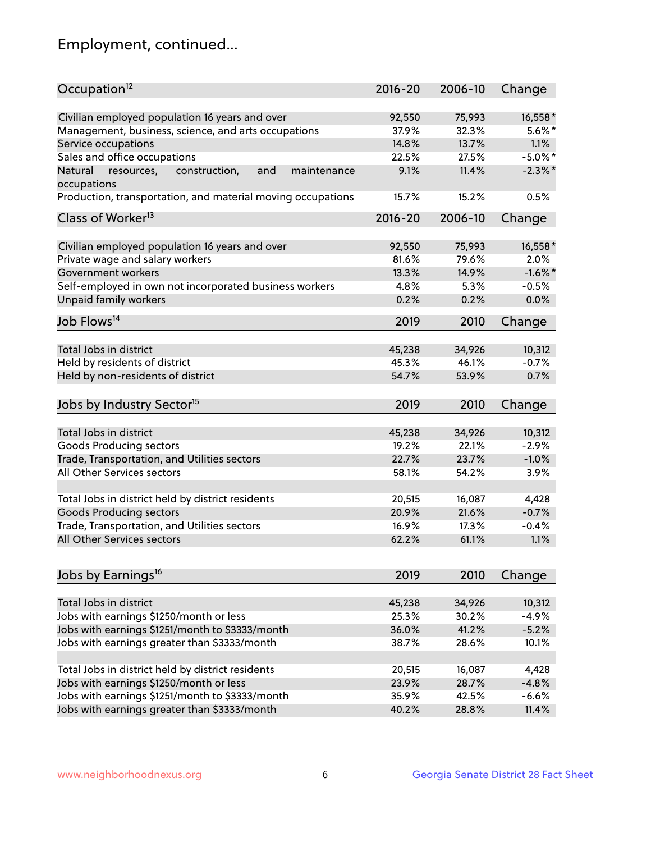## Employment, continued...

| Civilian employed population 16 years and over<br>75,993<br>16,558*<br>92,550<br>Management, business, science, and arts occupations<br>32.3%<br>$5.6\%$ *<br>37.9%<br>1.1%<br>Service occupations<br>14.8%<br>13.7%<br>Sales and office occupations<br>$-5.0\%$ *<br>22.5%<br>27.5%<br>9.1%<br>11.4%<br>$-2.3\%$ *<br>Natural<br>and<br>maintenance<br>resources,<br>construction,<br>15.7%<br>15.2%<br>0.5%<br>$2016 - 20$<br>2006-10<br>Change<br>Civilian employed population 16 years and over<br>16,558*<br>92,550<br>75,993<br>Private wage and salary workers<br>79.6%<br>81.6%<br>2.0%<br>$-1.6\%$ *<br>13.3%<br>14.9%<br>Self-employed in own not incorporated business workers<br>4.8%<br>$-0.5%$<br>5.3%<br>0.0%<br>0.2%<br>0.2%<br>2019<br>2010<br>Change<br>Total Jobs in district<br>45,238<br>34,926<br>10,312<br>$-0.7%$<br>45.3%<br>46.1%<br>0.7%<br>54.7%<br>53.9%<br>2019<br>2010<br>Change<br>Total Jobs in district<br>45,238<br>34,926<br>10,312<br>Goods Producing sectors<br>19.2%<br>22.1%<br>$-2.9%$<br>$-1.0%$<br>Trade, Transportation, and Utilities sectors<br>22.7%<br>23.7%<br>All Other Services sectors<br>58.1%<br>54.2%<br>3.9%<br>Total Jobs in district held by district residents<br>20,515<br>16,087<br>4,428<br><b>Goods Producing sectors</b><br>21.6%<br>$-0.7%$<br>20.9%<br>Trade, Transportation, and Utilities sectors<br>16.9%<br>17.3%<br>$-0.4%$<br>All Other Services sectors<br>1.1%<br>62.2%<br>61.1%<br>2019<br>2010<br>Change<br>Total Jobs in district<br>45,238<br>34,926<br>10,312<br>Jobs with earnings \$1250/month or less<br>25.3%<br>30.2%<br>$-4.9%$<br>Jobs with earnings \$1251/month to \$3333/month<br>41.2%<br>$-5.2%$<br>36.0% | Occupation <sup>12</sup>                                    | $2016 - 20$ | 2006-10 | Change |
|------------------------------------------------------------------------------------------------------------------------------------------------------------------------------------------------------------------------------------------------------------------------------------------------------------------------------------------------------------------------------------------------------------------------------------------------------------------------------------------------------------------------------------------------------------------------------------------------------------------------------------------------------------------------------------------------------------------------------------------------------------------------------------------------------------------------------------------------------------------------------------------------------------------------------------------------------------------------------------------------------------------------------------------------------------------------------------------------------------------------------------------------------------------------------------------------------------------------------------------------------------------------------------------------------------------------------------------------------------------------------------------------------------------------------------------------------------------------------------------------------------------------------------------------------------------------------------------------------------------------------------------------------------------------------------------------------|-------------------------------------------------------------|-------------|---------|--------|
|                                                                                                                                                                                                                                                                                                                                                                                                                                                                                                                                                                                                                                                                                                                                                                                                                                                                                                                                                                                                                                                                                                                                                                                                                                                                                                                                                                                                                                                                                                                                                                                                                                                                                                      |                                                             |             |         |        |
|                                                                                                                                                                                                                                                                                                                                                                                                                                                                                                                                                                                                                                                                                                                                                                                                                                                                                                                                                                                                                                                                                                                                                                                                                                                                                                                                                                                                                                                                                                                                                                                                                                                                                                      |                                                             |             |         |        |
|                                                                                                                                                                                                                                                                                                                                                                                                                                                                                                                                                                                                                                                                                                                                                                                                                                                                                                                                                                                                                                                                                                                                                                                                                                                                                                                                                                                                                                                                                                                                                                                                                                                                                                      |                                                             |             |         |        |
|                                                                                                                                                                                                                                                                                                                                                                                                                                                                                                                                                                                                                                                                                                                                                                                                                                                                                                                                                                                                                                                                                                                                                                                                                                                                                                                                                                                                                                                                                                                                                                                                                                                                                                      |                                                             |             |         |        |
|                                                                                                                                                                                                                                                                                                                                                                                                                                                                                                                                                                                                                                                                                                                                                                                                                                                                                                                                                                                                                                                                                                                                                                                                                                                                                                                                                                                                                                                                                                                                                                                                                                                                                                      |                                                             |             |         |        |
|                                                                                                                                                                                                                                                                                                                                                                                                                                                                                                                                                                                                                                                                                                                                                                                                                                                                                                                                                                                                                                                                                                                                                                                                                                                                                                                                                                                                                                                                                                                                                                                                                                                                                                      | occupations                                                 |             |         |        |
|                                                                                                                                                                                                                                                                                                                                                                                                                                                                                                                                                                                                                                                                                                                                                                                                                                                                                                                                                                                                                                                                                                                                                                                                                                                                                                                                                                                                                                                                                                                                                                                                                                                                                                      | Production, transportation, and material moving occupations |             |         |        |
|                                                                                                                                                                                                                                                                                                                                                                                                                                                                                                                                                                                                                                                                                                                                                                                                                                                                                                                                                                                                                                                                                                                                                                                                                                                                                                                                                                                                                                                                                                                                                                                                                                                                                                      | Class of Worker <sup>13</sup>                               |             |         |        |
|                                                                                                                                                                                                                                                                                                                                                                                                                                                                                                                                                                                                                                                                                                                                                                                                                                                                                                                                                                                                                                                                                                                                                                                                                                                                                                                                                                                                                                                                                                                                                                                                                                                                                                      |                                                             |             |         |        |
|                                                                                                                                                                                                                                                                                                                                                                                                                                                                                                                                                                                                                                                                                                                                                                                                                                                                                                                                                                                                                                                                                                                                                                                                                                                                                                                                                                                                                                                                                                                                                                                                                                                                                                      |                                                             |             |         |        |
|                                                                                                                                                                                                                                                                                                                                                                                                                                                                                                                                                                                                                                                                                                                                                                                                                                                                                                                                                                                                                                                                                                                                                                                                                                                                                                                                                                                                                                                                                                                                                                                                                                                                                                      |                                                             |             |         |        |
|                                                                                                                                                                                                                                                                                                                                                                                                                                                                                                                                                                                                                                                                                                                                                                                                                                                                                                                                                                                                                                                                                                                                                                                                                                                                                                                                                                                                                                                                                                                                                                                                                                                                                                      | Government workers                                          |             |         |        |
|                                                                                                                                                                                                                                                                                                                                                                                                                                                                                                                                                                                                                                                                                                                                                                                                                                                                                                                                                                                                                                                                                                                                                                                                                                                                                                                                                                                                                                                                                                                                                                                                                                                                                                      |                                                             |             |         |        |
|                                                                                                                                                                                                                                                                                                                                                                                                                                                                                                                                                                                                                                                                                                                                                                                                                                                                                                                                                                                                                                                                                                                                                                                                                                                                                                                                                                                                                                                                                                                                                                                                                                                                                                      | Unpaid family workers                                       |             |         |        |
|                                                                                                                                                                                                                                                                                                                                                                                                                                                                                                                                                                                                                                                                                                                                                                                                                                                                                                                                                                                                                                                                                                                                                                                                                                                                                                                                                                                                                                                                                                                                                                                                                                                                                                      | Job Flows <sup>14</sup>                                     |             |         |        |
|                                                                                                                                                                                                                                                                                                                                                                                                                                                                                                                                                                                                                                                                                                                                                                                                                                                                                                                                                                                                                                                                                                                                                                                                                                                                                                                                                                                                                                                                                                                                                                                                                                                                                                      |                                                             |             |         |        |
|                                                                                                                                                                                                                                                                                                                                                                                                                                                                                                                                                                                                                                                                                                                                                                                                                                                                                                                                                                                                                                                                                                                                                                                                                                                                                                                                                                                                                                                                                                                                                                                                                                                                                                      |                                                             |             |         |        |
|                                                                                                                                                                                                                                                                                                                                                                                                                                                                                                                                                                                                                                                                                                                                                                                                                                                                                                                                                                                                                                                                                                                                                                                                                                                                                                                                                                                                                                                                                                                                                                                                                                                                                                      | Held by residents of district                               |             |         |        |
|                                                                                                                                                                                                                                                                                                                                                                                                                                                                                                                                                                                                                                                                                                                                                                                                                                                                                                                                                                                                                                                                                                                                                                                                                                                                                                                                                                                                                                                                                                                                                                                                                                                                                                      | Held by non-residents of district                           |             |         |        |
|                                                                                                                                                                                                                                                                                                                                                                                                                                                                                                                                                                                                                                                                                                                                                                                                                                                                                                                                                                                                                                                                                                                                                                                                                                                                                                                                                                                                                                                                                                                                                                                                                                                                                                      | Jobs by Industry Sector <sup>15</sup>                       |             |         |        |
|                                                                                                                                                                                                                                                                                                                                                                                                                                                                                                                                                                                                                                                                                                                                                                                                                                                                                                                                                                                                                                                                                                                                                                                                                                                                                                                                                                                                                                                                                                                                                                                                                                                                                                      |                                                             |             |         |        |
|                                                                                                                                                                                                                                                                                                                                                                                                                                                                                                                                                                                                                                                                                                                                                                                                                                                                                                                                                                                                                                                                                                                                                                                                                                                                                                                                                                                                                                                                                                                                                                                                                                                                                                      |                                                             |             |         |        |
|                                                                                                                                                                                                                                                                                                                                                                                                                                                                                                                                                                                                                                                                                                                                                                                                                                                                                                                                                                                                                                                                                                                                                                                                                                                                                                                                                                                                                                                                                                                                                                                                                                                                                                      |                                                             |             |         |        |
|                                                                                                                                                                                                                                                                                                                                                                                                                                                                                                                                                                                                                                                                                                                                                                                                                                                                                                                                                                                                                                                                                                                                                                                                                                                                                                                                                                                                                                                                                                                                                                                                                                                                                                      |                                                             |             |         |        |
|                                                                                                                                                                                                                                                                                                                                                                                                                                                                                                                                                                                                                                                                                                                                                                                                                                                                                                                                                                                                                                                                                                                                                                                                                                                                                                                                                                                                                                                                                                                                                                                                                                                                                                      |                                                             |             |         |        |
|                                                                                                                                                                                                                                                                                                                                                                                                                                                                                                                                                                                                                                                                                                                                                                                                                                                                                                                                                                                                                                                                                                                                                                                                                                                                                                                                                                                                                                                                                                                                                                                                                                                                                                      |                                                             |             |         |        |
|                                                                                                                                                                                                                                                                                                                                                                                                                                                                                                                                                                                                                                                                                                                                                                                                                                                                                                                                                                                                                                                                                                                                                                                                                                                                                                                                                                                                                                                                                                                                                                                                                                                                                                      |                                                             |             |         |        |
|                                                                                                                                                                                                                                                                                                                                                                                                                                                                                                                                                                                                                                                                                                                                                                                                                                                                                                                                                                                                                                                                                                                                                                                                                                                                                                                                                                                                                                                                                                                                                                                                                                                                                                      |                                                             |             |         |        |
|                                                                                                                                                                                                                                                                                                                                                                                                                                                                                                                                                                                                                                                                                                                                                                                                                                                                                                                                                                                                                                                                                                                                                                                                                                                                                                                                                                                                                                                                                                                                                                                                                                                                                                      |                                                             |             |         |        |
|                                                                                                                                                                                                                                                                                                                                                                                                                                                                                                                                                                                                                                                                                                                                                                                                                                                                                                                                                                                                                                                                                                                                                                                                                                                                                                                                                                                                                                                                                                                                                                                                                                                                                                      |                                                             |             |         |        |
|                                                                                                                                                                                                                                                                                                                                                                                                                                                                                                                                                                                                                                                                                                                                                                                                                                                                                                                                                                                                                                                                                                                                                                                                                                                                                                                                                                                                                                                                                                                                                                                                                                                                                                      | Jobs by Earnings <sup>16</sup>                              |             |         |        |
|                                                                                                                                                                                                                                                                                                                                                                                                                                                                                                                                                                                                                                                                                                                                                                                                                                                                                                                                                                                                                                                                                                                                                                                                                                                                                                                                                                                                                                                                                                                                                                                                                                                                                                      |                                                             |             |         |        |
|                                                                                                                                                                                                                                                                                                                                                                                                                                                                                                                                                                                                                                                                                                                                                                                                                                                                                                                                                                                                                                                                                                                                                                                                                                                                                                                                                                                                                                                                                                                                                                                                                                                                                                      |                                                             |             |         |        |
|                                                                                                                                                                                                                                                                                                                                                                                                                                                                                                                                                                                                                                                                                                                                                                                                                                                                                                                                                                                                                                                                                                                                                                                                                                                                                                                                                                                                                                                                                                                                                                                                                                                                                                      |                                                             |             |         |        |
|                                                                                                                                                                                                                                                                                                                                                                                                                                                                                                                                                                                                                                                                                                                                                                                                                                                                                                                                                                                                                                                                                                                                                                                                                                                                                                                                                                                                                                                                                                                                                                                                                                                                                                      |                                                             |             |         |        |
|                                                                                                                                                                                                                                                                                                                                                                                                                                                                                                                                                                                                                                                                                                                                                                                                                                                                                                                                                                                                                                                                                                                                                                                                                                                                                                                                                                                                                                                                                                                                                                                                                                                                                                      | Jobs with earnings greater than \$3333/month                | 38.7%       | 28.6%   | 10.1%  |
| 20,515<br>16,087<br>4,428                                                                                                                                                                                                                                                                                                                                                                                                                                                                                                                                                                                                                                                                                                                                                                                                                                                                                                                                                                                                                                                                                                                                                                                                                                                                                                                                                                                                                                                                                                                                                                                                                                                                            | Total Jobs in district held by district residents           |             |         |        |
| $-4.8%$<br>23.9%<br>28.7%                                                                                                                                                                                                                                                                                                                                                                                                                                                                                                                                                                                                                                                                                                                                                                                                                                                                                                                                                                                                                                                                                                                                                                                                                                                                                                                                                                                                                                                                                                                                                                                                                                                                            | Jobs with earnings \$1250/month or less                     |             |         |        |
| 35.9%<br>42.5%<br>$-6.6%$                                                                                                                                                                                                                                                                                                                                                                                                                                                                                                                                                                                                                                                                                                                                                                                                                                                                                                                                                                                                                                                                                                                                                                                                                                                                                                                                                                                                                                                                                                                                                                                                                                                                            | Jobs with earnings \$1251/month to \$3333/month             |             |         |        |
| 40.2%<br>11.4%<br>28.8%                                                                                                                                                                                                                                                                                                                                                                                                                                                                                                                                                                                                                                                                                                                                                                                                                                                                                                                                                                                                                                                                                                                                                                                                                                                                                                                                                                                                                                                                                                                                                                                                                                                                              | Jobs with earnings greater than \$3333/month                |             |         |        |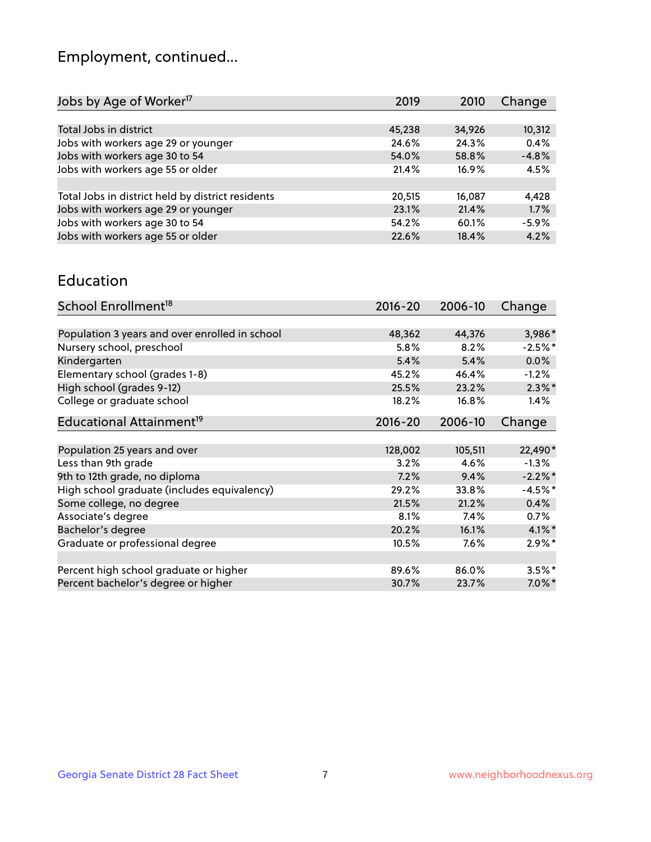## Employment, continued...

| Jobs by Age of Worker <sup>17</sup>               | 2019   | 2010   | Change  |
|---------------------------------------------------|--------|--------|---------|
|                                                   |        |        |         |
| Total Jobs in district                            | 45,238 | 34,926 | 10,312  |
| Jobs with workers age 29 or younger               | 24.6%  | 24.3%  | 0.4%    |
| Jobs with workers age 30 to 54                    | 54.0%  | 58.8%  | $-4.8%$ |
| Jobs with workers age 55 or older                 | 21.4%  | 16.9%  | 4.5%    |
|                                                   |        |        |         |
| Total Jobs in district held by district residents | 20,515 | 16,087 | 4,428   |
| Jobs with workers age 29 or younger               | 23.1%  | 21.4%  | 1.7%    |
| Jobs with workers age 30 to 54                    | 54.2%  | 60.1%  | $-5.9%$ |
| Jobs with workers age 55 or older                 | 22.6%  | 18.4%  | 4.2%    |

#### Education

| School Enrollment <sup>18</sup>                | $2016 - 20$ | 2006-10 | Change    |
|------------------------------------------------|-------------|---------|-----------|
|                                                |             |         |           |
| Population 3 years and over enrolled in school | 48,362      | 44,376  | 3,986*    |
| Nursery school, preschool                      | 5.8%        | 8.2%    | $-2.5%$ * |
| Kindergarten                                   | 5.4%        | 5.4%    | 0.0%      |
| Elementary school (grades 1-8)                 | 45.2%       | 46.4%   | $-1.2%$   |
| High school (grades 9-12)                      | 25.5%       | 23.2%   | $2.3\%$ * |
| College or graduate school                     | 18.2%       | 16.8%   | 1.4%      |
| Educational Attainment <sup>19</sup>           | $2016 - 20$ | 2006-10 | Change    |
|                                                |             |         |           |
| Population 25 years and over                   | 128,002     | 105,511 | 22,490*   |
| Less than 9th grade                            | 3.2%        | 4.6%    | $-1.3\%$  |
| 9th to 12th grade, no diploma                  | 7.2%        | 9.4%    | $-2.2%$ * |
| High school graduate (includes equivalency)    | 29.2%       | 33.8%   | $-4.5%$ * |
| Some college, no degree                        | 21.5%       | 21.2%   | 0.4%      |
| Associate's degree                             | 8.1%        | 7.4%    | 0.7%      |
| Bachelor's degree                              | 20.2%       | 16.1%   | $4.1\%$ * |
| Graduate or professional degree                | 10.5%       | $7.6\%$ | $2.9\%$ * |
|                                                |             |         |           |
| Percent high school graduate or higher         | 89.6%       | 86.0%   | $3.5\%$ * |
| Percent bachelor's degree or higher            | 30.7%       | 23.7%   | $7.0\%$ * |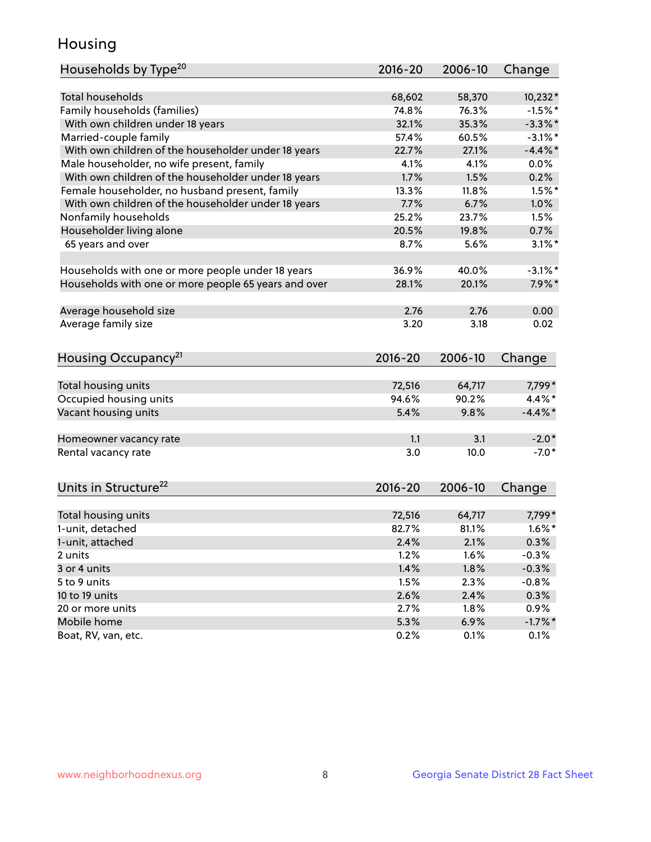## Housing

| Households by Type <sup>20</sup>                     | 2016-20     | 2006-10 | Change     |
|------------------------------------------------------|-------------|---------|------------|
|                                                      |             |         |            |
| Total households                                     | 68,602      | 58,370  | $10,232*$  |
| Family households (families)                         | 74.8%       | 76.3%   | $-1.5%$ *  |
| With own children under 18 years                     | 32.1%       | 35.3%   | $-3.3\%$ * |
| Married-couple family                                | 57.4%       | 60.5%   | $-3.1\%$ * |
| With own children of the householder under 18 years  | 22.7%       | 27.1%   | $-4.4\%$ * |
| Male householder, no wife present, family            | 4.1%        | 4.1%    | $0.0\%$    |
| With own children of the householder under 18 years  | 1.7%        | 1.5%    | 0.2%       |
| Female householder, no husband present, family       | 13.3%       | 11.8%   | $1.5%$ *   |
| With own children of the householder under 18 years  | 7.7%        | 6.7%    | 1.0%       |
| Nonfamily households                                 | 25.2%       | 23.7%   | 1.5%       |
| Householder living alone                             | 20.5%       | 19.8%   | 0.7%       |
| 65 years and over                                    | 8.7%        | 5.6%    | $3.1\%$ *  |
| Households with one or more people under 18 years    | 36.9%       | 40.0%   | $-3.1\%$ * |
| Households with one or more people 65 years and over | 28.1%       | 20.1%   | $7.9\%$ *  |
| Average household size                               | 2.76        | 2.76    | 0.00       |
| Average family size                                  | 3.20        | 3.18    | 0.02       |
|                                                      |             |         |            |
| Housing Occupancy <sup>21</sup>                      | $2016 - 20$ | 2006-10 | Change     |
| Total housing units                                  | 72,516      | 64,717  | 7,799*     |
| Occupied housing units                               | 94.6%       | 90.2%   | 4.4%*      |
| Vacant housing units                                 | 5.4%        | 9.8%    | $-4.4\%$ * |
|                                                      |             |         |            |
| Homeowner vacancy rate                               | 1.1         | 3.1     | $-2.0*$    |
| Rental vacancy rate                                  | 3.0         | 10.0    | $-7.0*$    |
| Units in Structure <sup>22</sup>                     | 2016-20     | 2006-10 | Change     |
| Total housing units                                  | 72,516      | 64,717  | 7,799*     |
| 1-unit, detached                                     | 82.7%       | 81.1%   | $1.6\%$ *  |
|                                                      |             |         |            |
| 1-unit, attached                                     | 2.4%        | 2.1%    | 0.3%       |
| 2 units                                              | 1.2%        | 1.6%    | $-0.3%$    |
| 3 or 4 units                                         | 1.4%        | 1.8%    | $-0.3%$    |
| 5 to 9 units                                         | 1.5%        | 2.3%    | $-0.8%$    |
| 10 to 19 units                                       | 2.6%        | 2.4%    | 0.3%       |
| 20 or more units                                     | 2.7%        | 1.8%    | 0.9%       |
| Mobile home                                          | 5.3%        | 6.9%    | $-1.7%$ *  |
| Boat, RV, van, etc.                                  | 0.2%        | 0.1%    | 0.1%       |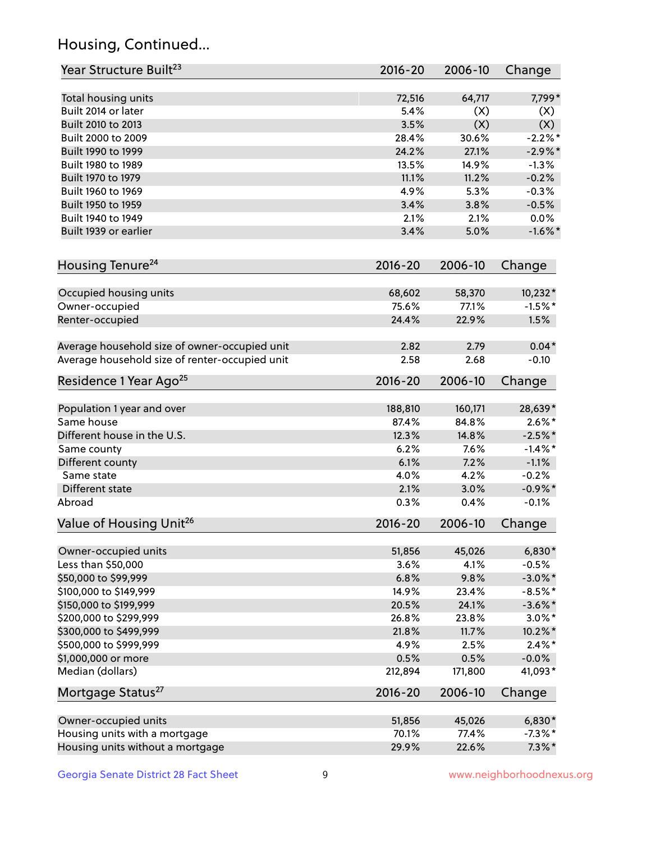## Housing, Continued...

| Year Structure Built <sup>23</sup>             | 2016-20     | 2006-10 | Change     |
|------------------------------------------------|-------------|---------|------------|
| Total housing units                            | 72,516      | 64,717  | 7,799*     |
| Built 2014 or later                            | 5.4%        | (X)     | (X)        |
| Built 2010 to 2013                             | 3.5%        | (X)     | (X)        |
| Built 2000 to 2009                             | 28.4%       | 30.6%   | $-2.2%$ *  |
| Built 1990 to 1999                             | 24.2%       | 27.1%   | $-2.9%$ *  |
| Built 1980 to 1989                             | 13.5%       | 14.9%   | $-1.3%$    |
| Built 1970 to 1979                             | 11.1%       | 11.2%   | $-0.2%$    |
| Built 1960 to 1969                             | 4.9%        | 5.3%    | $-0.3%$    |
| Built 1950 to 1959                             | 3.4%        | 3.8%    | $-0.5%$    |
| Built 1940 to 1949                             | 2.1%        | 2.1%    | 0.0%       |
| Built 1939 or earlier                          | 3.4%        | 5.0%    | $-1.6\%$ * |
| Housing Tenure <sup>24</sup>                   | $2016 - 20$ | 2006-10 | Change     |
| Occupied housing units                         | 68,602      | 58,370  | 10,232*    |
| Owner-occupied                                 | 75.6%       | 77.1%   | $-1.5%$ *  |
| Renter-occupied                                | 24.4%       | 22.9%   | 1.5%       |
| Average household size of owner-occupied unit  | 2.82        | 2.79    | $0.04*$    |
| Average household size of renter-occupied unit | 2.58        | 2.68    | $-0.10$    |
| Residence 1 Year Ago <sup>25</sup>             | $2016 - 20$ | 2006-10 | Change     |
| Population 1 year and over                     | 188,810     | 160,171 | 28,639*    |
| Same house                                     | 87.4%       | 84.8%   | $2.6\%*$   |
| Different house in the U.S.                    | 12.3%       | 14.8%   | $-2.5%$ *  |
| Same county                                    | 6.2%        | 7.6%    | $-1.4\%$ * |
| Different county                               | 6.1%        | 7.2%    | $-1.1%$    |
| Same state                                     | 4.0%        | 4.2%    | $-0.2%$    |
| Different state                                | 2.1%        | 3.0%    | $-0.9\%$ * |
| Abroad                                         | 0.3%        | 0.4%    | $-0.1%$    |
| Value of Housing Unit <sup>26</sup>            | $2016 - 20$ | 2006-10 | Change     |
| Owner-occupied units                           | 51,856      | 45,026  | $6,830*$   |
| Less than \$50,000                             | 3.6%        | 4.1%    | $-0.5%$    |
| \$50,000 to \$99,999                           | 6.8%        | 9.8%    | $-3.0\%$ * |
| \$100,000 to \$149,999                         | 14.9%       | 23.4%   | $-8.5%$ *  |
| \$150,000 to \$199,999                         | 20.5%       | 24.1%   | $-3.6\%$ * |
| \$200,000 to \$299,999                         | 26.8%       | 23.8%   | $3.0\%$ *  |
| \$300,000 to \$499,999                         | 21.8%       | 11.7%   | 10.2%*     |
| \$500,000 to \$999,999                         | 4.9%        | 2.5%    | $2.4\%$ *  |
| \$1,000,000 or more                            | 0.5%        | 0.5%    | $-0.0\%$   |
| Median (dollars)                               | 212,894     | 171,800 | 41,093*    |
| Mortgage Status <sup>27</sup>                  | $2016 - 20$ | 2006-10 | Change     |
| Owner-occupied units                           | 51,856      | 45,026  | $6,830*$   |
| Housing units with a mortgage                  | 70.1%       | 77.4%   | $-7.3\%$ * |
| Housing units without a mortgage               | 29.9%       | 22.6%   | $7.3\%$ *  |
|                                                |             |         |            |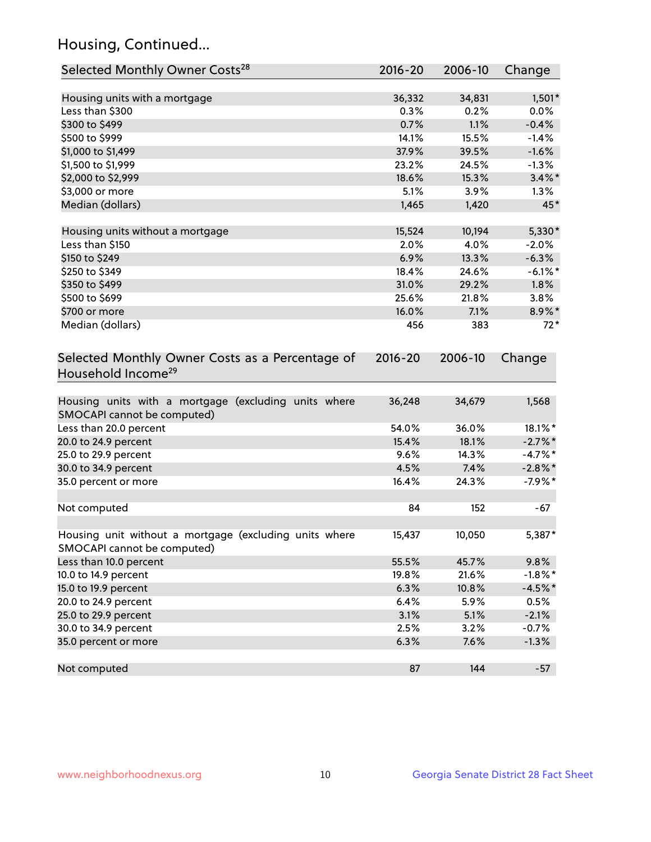## Housing, Continued...

| Selected Monthly Owner Costs <sup>28</sup>                                            | $2016 - 20$ | 2006-10 | Change     |
|---------------------------------------------------------------------------------------|-------------|---------|------------|
| Housing units with a mortgage                                                         | 36,332      | 34,831  | $1,501*$   |
| Less than \$300                                                                       | 0.3%        | 0.2%    | 0.0%       |
| \$300 to \$499                                                                        | 0.7%        | 1.1%    | $-0.4%$    |
| \$500 to \$999                                                                        | 14.1%       | 15.5%   | $-1.4%$    |
| \$1,000 to \$1,499                                                                    | 37.9%       | 39.5%   | $-1.6%$    |
| \$1,500 to \$1,999                                                                    | 23.2%       | 24.5%   | $-1.3%$    |
| \$2,000 to \$2,999                                                                    | 18.6%       | 15.3%   | $3.4\%$ *  |
| \$3,000 or more                                                                       | 5.1%        | 3.9%    | 1.3%       |
| Median (dollars)                                                                      | 1,465       | 1,420   | 45*        |
| Housing units without a mortgage                                                      | 15,524      | 10,194  | 5,330*     |
| Less than \$150                                                                       | 2.0%        | 4.0%    | $-2.0%$    |
| \$150 to \$249                                                                        | 6.9%        | 13.3%   | $-6.3%$    |
| \$250 to \$349                                                                        | 18.4%       | 24.6%   | $-6.1\%$ * |
| \$350 to \$499                                                                        | 31.0%       | 29.2%   | $1.8\%$    |
| \$500 to \$699                                                                        | 25.6%       | 21.8%   | 3.8%       |
| \$700 or more                                                                         | 16.0%       | 7.1%    | 8.9%*      |
| Median (dollars)                                                                      | 456         | 383     | $72*$      |
| Selected Monthly Owner Costs as a Percentage of<br>Household Income <sup>29</sup>     | $2016 - 20$ | 2006-10 | Change     |
| Housing units with a mortgage (excluding units where<br>SMOCAPI cannot be computed)   | 36,248      | 34,679  | 1,568      |
| Less than 20.0 percent                                                                | 54.0%       | 36.0%   | 18.1%*     |
| 20.0 to 24.9 percent                                                                  | 15.4%       | 18.1%   | $-2.7\%$ * |
| 25.0 to 29.9 percent                                                                  | 9.6%        | 14.3%   | $-4.7\%$ * |
| 30.0 to 34.9 percent                                                                  | 4.5%        | 7.4%    | $-2.8\%$ * |
| 35.0 percent or more                                                                  | 16.4%       | 24.3%   | $-7.9%$ *  |
| Not computed                                                                          | 84          | 152     | $-67$      |
| Housing unit without a mortgage (excluding units where<br>SMOCAPI cannot be computed) | 15,437      | 10,050  | 5,387*     |
| Less than 10.0 percent                                                                | 55.5%       | 45.7%   | 9.8%       |
| 10.0 to 14.9 percent                                                                  | 19.8%       | 21.6%   | $-1.8\%$ * |
| 15.0 to 19.9 percent                                                                  | 6.3%        | 10.8%   | $-4.5%$ *  |
| 20.0 to 24.9 percent                                                                  | 6.4%        | 5.9%    | 0.5%       |
| 25.0 to 29.9 percent                                                                  | 3.1%        | 5.1%    | $-2.1%$    |
| 30.0 to 34.9 percent                                                                  | 2.5%        | 3.2%    | $-0.7%$    |
| 35.0 percent or more                                                                  | 6.3%        | 7.6%    | $-1.3%$    |
| Not computed                                                                          | 87          | 144     | $-57$      |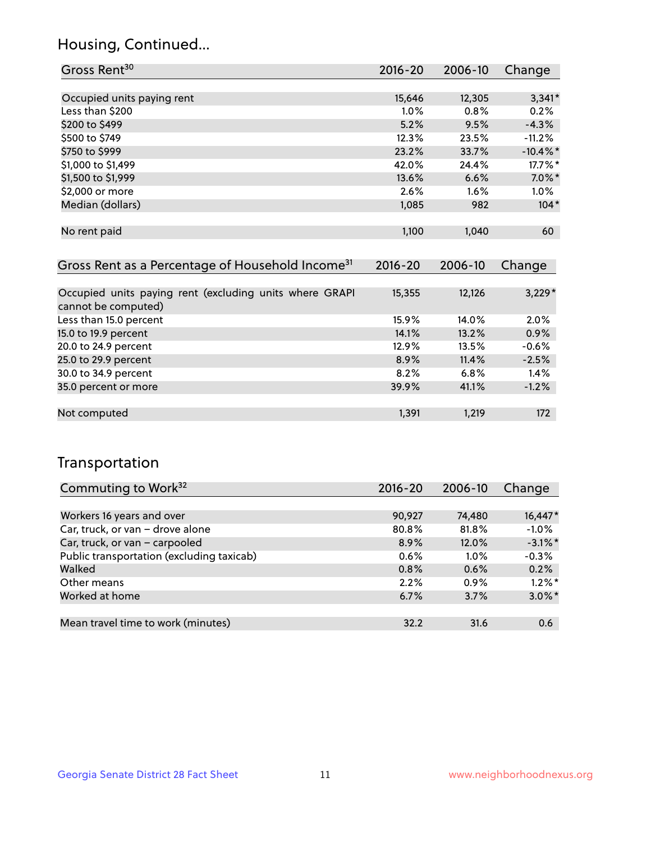## Housing, Continued...

| Gross Rent <sup>30</sup>   | 2016-20 | 2006-10 | Change      |
|----------------------------|---------|---------|-------------|
|                            |         |         |             |
| Occupied units paying rent | 15,646  | 12,305  | $3,341*$    |
| Less than \$200            | $1.0\%$ | 0.8%    | 0.2%        |
| \$200 to \$499             | 5.2%    | 9.5%    | $-4.3%$     |
| \$500 to \$749             | 12.3%   | 23.5%   | $-11.2%$    |
| \$750 to \$999             | 23.2%   | 33.7%   | $-10.4\%$ * |
| \$1,000 to \$1,499         | 42.0%   | 24.4%   | $17.7\%$ *  |
| \$1,500 to \$1,999         | 13.6%   | 6.6%    | $7.0\%$ *   |
| \$2,000 or more            | 2.6%    | $1.6\%$ | $1.0\%$     |
| Median (dollars)           | 1,085   | 982     | $104*$      |
|                            |         |         |             |
| No rent paid               | 1,100   | 1,040   | 60          |
|                            |         |         |             |
|                            |         |         |             |

| Gross Rent as a Percentage of Household Income <sup>31</sup>                   | $2016 - 20$ | 2006-10 | Change   |
|--------------------------------------------------------------------------------|-------------|---------|----------|
|                                                                                |             |         |          |
| Occupied units paying rent (excluding units where GRAPI<br>cannot be computed) | 15,355      | 12,126  | $3,229*$ |
| Less than 15.0 percent                                                         | 15.9%       | 14.0%   | 2.0%     |
| 15.0 to 19.9 percent                                                           | 14.1%       | 13.2%   | 0.9%     |
| 20.0 to 24.9 percent                                                           | 12.9%       | 13.5%   | $-0.6%$  |
| 25.0 to 29.9 percent                                                           | 8.9%        | 11.4%   | $-2.5%$  |
| 30.0 to 34.9 percent                                                           | 8.2%        | 6.8%    | 1.4%     |
| 35.0 percent or more                                                           | 39.9%       | 41.1%   | $-1.2%$  |
|                                                                                |             |         |          |
| Not computed                                                                   | 1,391       | 1,219   | 172      |

## Transportation

| Commuting to Work <sup>32</sup>           | 2016-20 | 2006-10 | Change     |
|-------------------------------------------|---------|---------|------------|
|                                           |         |         |            |
| Workers 16 years and over                 | 90,927  | 74,480  | 16,447*    |
| Car, truck, or van - drove alone          | 80.8%   | 81.8%   | $-1.0%$    |
| Car, truck, or van - carpooled            | 8.9%    | 12.0%   | $-3.1\%$ * |
| Public transportation (excluding taxicab) | 0.6%    | $1.0\%$ | $-0.3%$    |
| Walked                                    | 0.8%    | 0.6%    | 0.2%       |
| Other means                               | 2.2%    | $0.9\%$ | $1.2\%$ *  |
| Worked at home                            | 6.7%    | 3.7%    | $3.0\%$ *  |
|                                           |         |         |            |
| Mean travel time to work (minutes)        | 32.2    | 31.6    | 0.6        |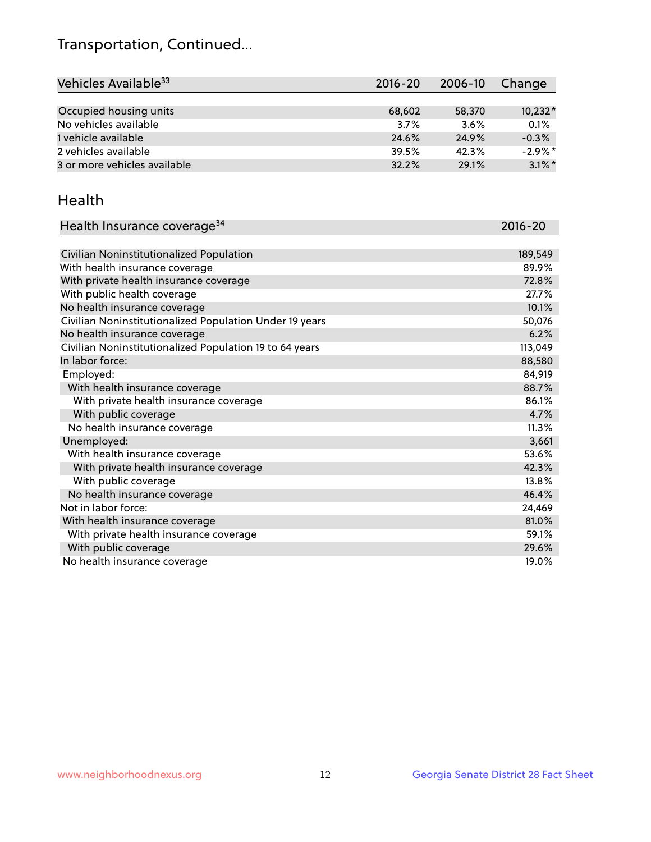## Transportation, Continued...

| Vehicles Available <sup>33</sup> | $2016 - 20$ | 2006-10 | Change     |
|----------------------------------|-------------|---------|------------|
|                                  |             |         |            |
| Occupied housing units           | 68,602      | 58,370  | $10,232*$  |
| No vehicles available            | 3.7%        | 3.6%    | 0.1%       |
| 1 vehicle available              | 24.6%       | 24.9%   | $-0.3%$    |
| 2 vehicles available             | 39.5%       | 42.3%   | $-2.9\%$ * |
| 3 or more vehicles available     | 32.2%       | 29.1%   | $3.1\%$ *  |

#### Health

| Health Insurance coverage <sup>34</sup>                 | 2016-20 |
|---------------------------------------------------------|---------|
|                                                         |         |
| Civilian Noninstitutionalized Population                | 189,549 |
| With health insurance coverage                          | 89.9%   |
| With private health insurance coverage                  | 72.8%   |
| With public health coverage                             | 27.7%   |
| No health insurance coverage                            | 10.1%   |
| Civilian Noninstitutionalized Population Under 19 years | 50,076  |
| No health insurance coverage                            | 6.2%    |
| Civilian Noninstitutionalized Population 19 to 64 years | 113,049 |
| In labor force:                                         | 88,580  |
| Employed:                                               | 84,919  |
| With health insurance coverage                          | 88.7%   |
| With private health insurance coverage                  | 86.1%   |
| With public coverage                                    | 4.7%    |
| No health insurance coverage                            | 11.3%   |
| Unemployed:                                             | 3,661   |
| With health insurance coverage                          | 53.6%   |
| With private health insurance coverage                  | 42.3%   |
| With public coverage                                    | 13.8%   |
| No health insurance coverage                            | 46.4%   |
| Not in labor force:                                     | 24,469  |
| With health insurance coverage                          | 81.0%   |
| With private health insurance coverage                  | 59.1%   |
| With public coverage                                    | 29.6%   |
| No health insurance coverage                            | 19.0%   |